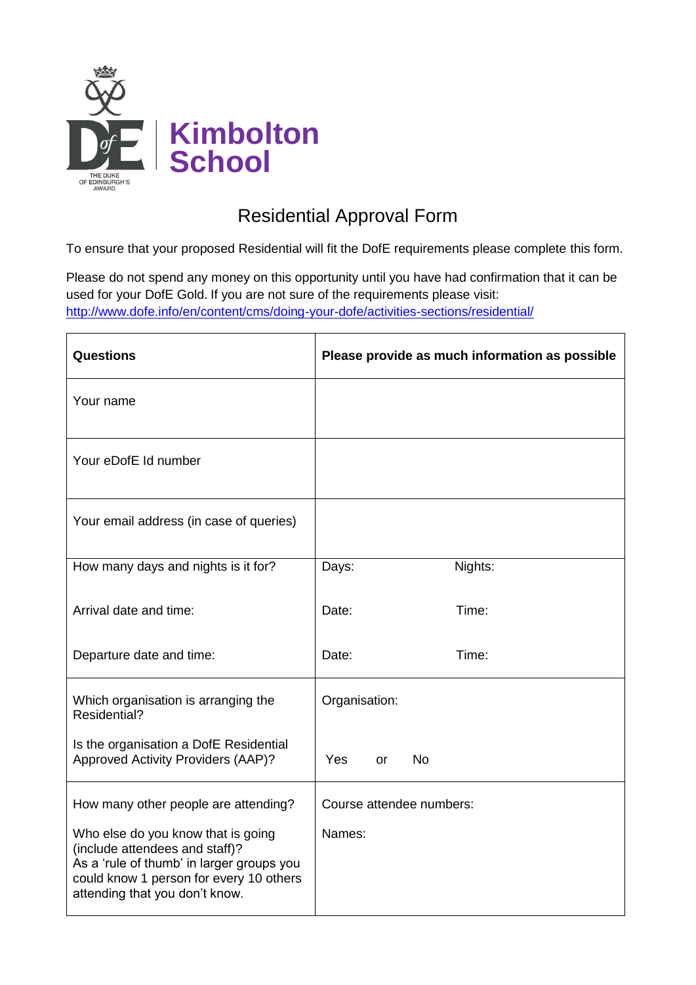

## Residential Approval Form

To ensure that your proposed Residential will fit the DofE requirements please complete this form.

Please do not spend any money on this opportunity until you have had confirmation that it can be used for your DofE Gold. If you are not sure of the requirements please visit: <http://www.dofe.info/en/content/cms/doing-your-dofe/activities-sections/residential/>

| <b>Questions</b>                                                                                                                                                                               | Please provide as much information as possible |
|------------------------------------------------------------------------------------------------------------------------------------------------------------------------------------------------|------------------------------------------------|
| Your name                                                                                                                                                                                      |                                                |
| Your eDofE Id number                                                                                                                                                                           |                                                |
| Your email address (in case of queries)                                                                                                                                                        |                                                |
| How many days and nights is it for?                                                                                                                                                            | Nights:<br>Days:                               |
| Arrival date and time:                                                                                                                                                                         | Time:<br>Date:                                 |
| Departure date and time:                                                                                                                                                                       | Time:<br>Date:                                 |
| Which organisation is arranging the<br>Residential?                                                                                                                                            | Organisation:                                  |
| Is the organisation a DofE Residential<br>Approved Activity Providers (AAP)?                                                                                                                   | <b>No</b><br>Yes<br><b>or</b>                  |
| How many other people are attending?                                                                                                                                                           | Course attendee numbers:                       |
| Who else do you know that is going<br>(include attendees and staff)?<br>As a 'rule of thumb' in larger groups you<br>could know 1 person for every 10 others<br>attending that you don't know. | Names:                                         |